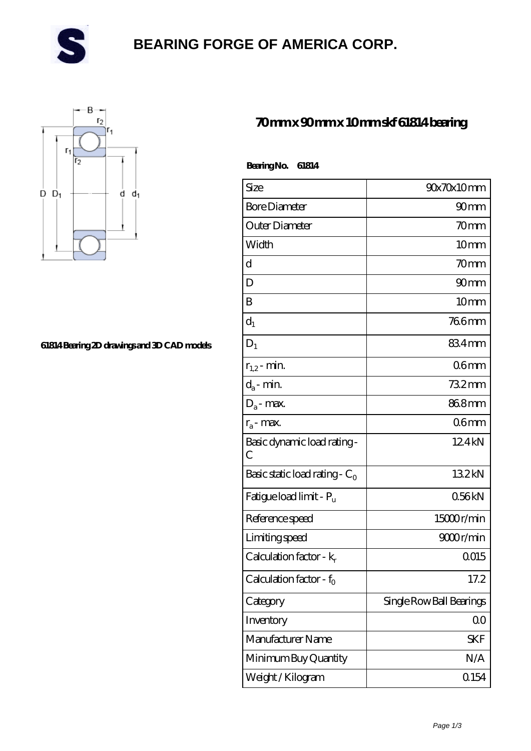

# **[BEARING FORGE OF AMERICA CORP.](https://m.danwei.tv)**



#### **[61814 Bearing 2D drawings and 3D CAD models](https://m.danwei.tv/pic-461768.html)**

### **[70 mm x 90 mm x 10 mm skf 61814 bearing](https://m.danwei.tv/skf-61814-bearing/)**

| Bearing No.<br>61814                |                          |
|-------------------------------------|--------------------------|
| Size                                | 90x70x10mm               |
| <b>Bore Diameter</b>                | 90 <sub>mm</sub>         |
| Outer Diameter                      | 70mm                     |
| Width                               | 10 <sub>mm</sub>         |
| $\mathbf d$                         | 70mm                     |
| D                                   | 90mm                     |
| B                                   | 10 <sub>mm</sub>         |
| $d_1$                               | <b>766mm</b>             |
| $D_1$                               | 834mm                    |
| $r_{1,2}$ - min.                    | 06 <sub>mm</sub>         |
| $d_a$ - min.                        | $732$ mm                 |
| $D_a$ - max.                        | 868mm                    |
| $r_a$ - max.                        | 06 <sub>mm</sub>         |
| Basic dynamic load rating -<br>C    | 124kN                    |
| Basic static load rating - $C_0$    | 132kN                    |
| Fatigue load limit - P <sub>u</sub> | 056kN                    |
| Reference speed                     | $15000$ r/min            |
| Limiting speed                      | 9000r/min                |
| Calculation factor - $k_r$          | 0015                     |
| Calculation factor - f <sub>0</sub> | 17.2                     |
| Category                            | Single Row Ball Bearings |
| Inventory                           | 0 <sup>0</sup>           |
| Manufacturer Name                   | <b>SKF</b>               |
| Minimum Buy Quantity                | N/A                      |

Weight / Kilogram and 154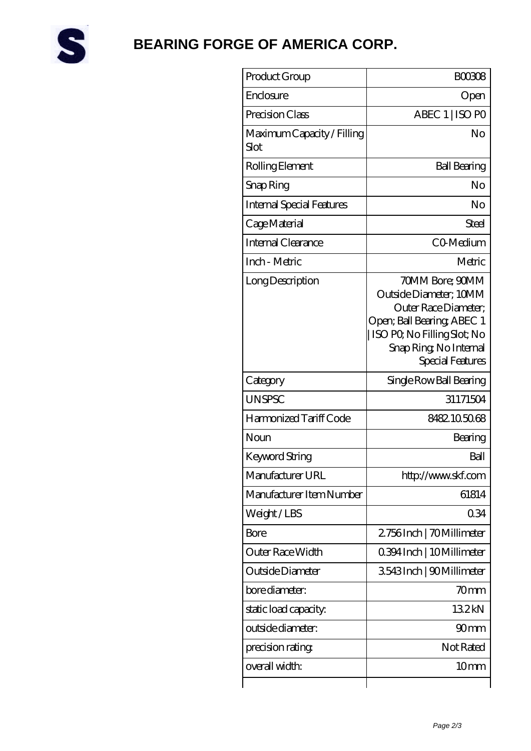

# **[BEARING FORGE OF AMERICA CORP.](https://m.danwei.tv)**

| Product Group                      | <b>BOO308</b>                                                                                                                                                                |
|------------------------------------|------------------------------------------------------------------------------------------------------------------------------------------------------------------------------|
| Enclosure                          | Open                                                                                                                                                                         |
| Precision Class                    | ABEC 1   ISO PO                                                                                                                                                              |
| Maximum Capacity / Filling<br>Slot | No                                                                                                                                                                           |
| Rolling Element                    | <b>Ball Bearing</b>                                                                                                                                                          |
| Snap Ring                          | No                                                                                                                                                                           |
| <b>Internal Special Features</b>   | No                                                                                                                                                                           |
| Cage Material                      | Steel                                                                                                                                                                        |
| Internal Clearance                 | CO-Medium                                                                                                                                                                    |
| Inch - Metric                      | Metric                                                                                                                                                                       |
| Long Description                   | 70MM Bore; 90MM<br>Outside Diameter: 10MM<br>Outer Race Diameter;<br>Open; Ball Bearing; ABEC 1<br>ISO PO, No Filling Slot; No<br>Snap Ring, No Internal<br>Special Features |
| Category                           | Single Row Ball Bearing                                                                                                                                                      |
| <b>UNSPSC</b>                      | 31171504                                                                                                                                                                     |
| Harmonized Tariff Code             | 8482105068                                                                                                                                                                   |
| Noun                               | Bearing                                                                                                                                                                      |
| Keyword String                     | Ball                                                                                                                                                                         |
| Manufacturer URL                   | http://www.skf.com                                                                                                                                                           |
| Manufacturer Item Number           | 61814                                                                                                                                                                        |
| Weight/LBS                         | 034                                                                                                                                                                          |
| Bore                               | 2756Inch   70Millimeter                                                                                                                                                      |
| Outer Race Width                   | 0.394 Inch   10 Millimeter                                                                                                                                                   |
| Outside Diameter                   | 3543Inch   90Millimeter                                                                                                                                                      |
| bore diameter:                     | 70 <sub>mm</sub>                                                                                                                                                             |
| static load capacity:              | 132kN                                                                                                                                                                        |
| outside diameter:                  | 90 <sub>mm</sub>                                                                                                                                                             |
| precision rating                   | Not Rated                                                                                                                                                                    |
| overall width:                     | 10 <sub>mm</sub>                                                                                                                                                             |
|                                    |                                                                                                                                                                              |